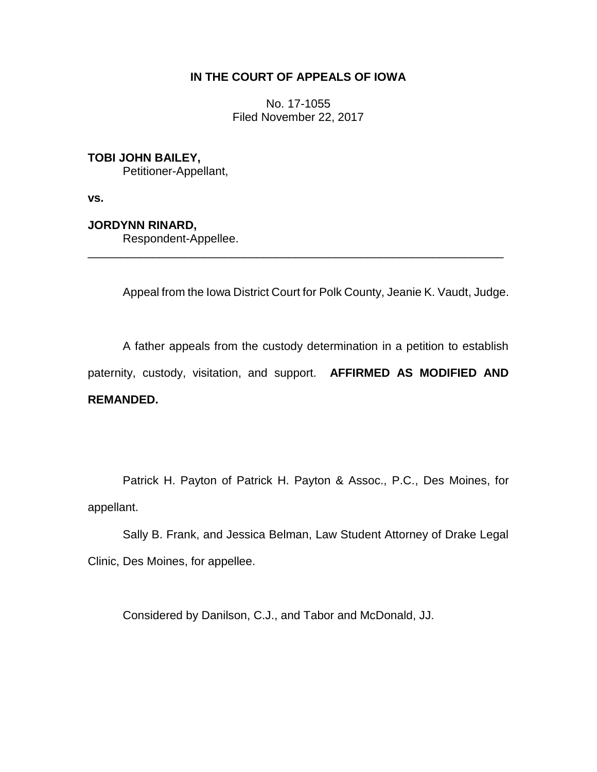## **IN THE COURT OF APPEALS OF IOWA**

No. 17-1055 Filed November 22, 2017

**TOBI JOHN BAILEY,** Petitioner-Appellant,

**vs.**

**JORDYNN RINARD,**

Respondent-Appellee.

Appeal from the Iowa District Court for Polk County, Jeanie K. Vaudt, Judge.

A father appeals from the custody determination in a petition to establish paternity, custody, visitation, and support. **AFFIRMED AS MODIFIED AND REMANDED.**

\_\_\_\_\_\_\_\_\_\_\_\_\_\_\_\_\_\_\_\_\_\_\_\_\_\_\_\_\_\_\_\_\_\_\_\_\_\_\_\_\_\_\_\_\_\_\_\_\_\_\_\_\_\_\_\_\_\_\_\_\_\_\_\_

Patrick H. Payton of Patrick H. Payton & Assoc., P.C., Des Moines, for appellant.

Sally B. Frank, and Jessica Belman, Law Student Attorney of Drake Legal Clinic, Des Moines, for appellee.

Considered by Danilson, C.J., and Tabor and McDonald, JJ.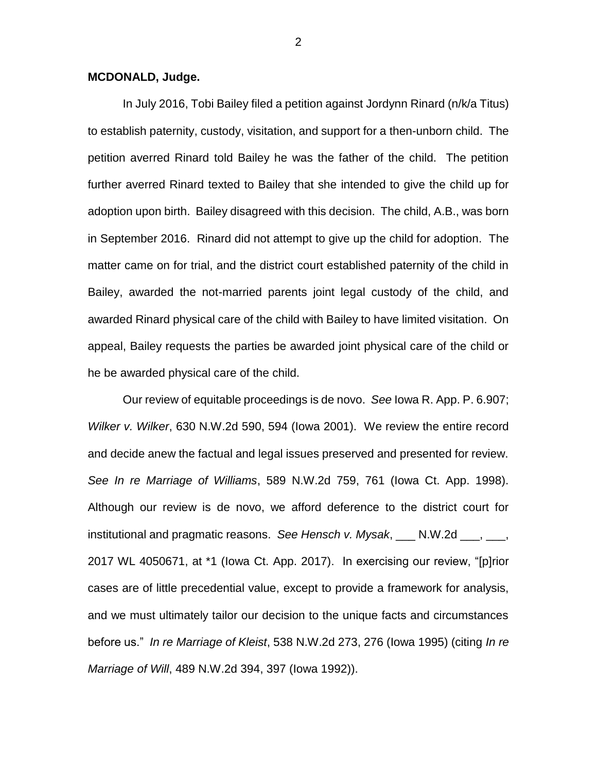## **MCDONALD, Judge.**

In July 2016, Tobi Bailey filed a petition against Jordynn Rinard (n/k/a Titus) to establish paternity, custody, visitation, and support for a then-unborn child. The petition averred Rinard told Bailey he was the father of the child. The petition further averred Rinard texted to Bailey that she intended to give the child up for adoption upon birth. Bailey disagreed with this decision. The child, A.B., was born in September 2016. Rinard did not attempt to give up the child for adoption. The matter came on for trial, and the district court established paternity of the child in Bailey, awarded the not-married parents joint legal custody of the child, and awarded Rinard physical care of the child with Bailey to have limited visitation. On appeal, Bailey requests the parties be awarded joint physical care of the child or he be awarded physical care of the child.

Our review of equitable proceedings is de novo. *See* Iowa R. App. P. 6.907; *Wilker v. Wilker*, 630 N.W.2d 590, 594 (Iowa 2001). We review the entire record and decide anew the factual and legal issues preserved and presented for review. *See In re Marriage of Williams*, 589 N.W.2d 759, 761 (Iowa Ct. App. 1998). Although our review is de novo, we afford deference to the district court for institutional and pragmatic reasons. *See Hensch v. Mysak*, \_\_\_ N.W.2d \_\_\_, \_\_\_, 2017 WL 4050671, at \*1 (Iowa Ct. App. 2017). In exercising our review, "[p]rior cases are of little precedential value, except to provide a framework for analysis, and we must ultimately tailor our decision to the unique facts and circumstances before us." *In re Marriage of Kleist*, 538 N.W.2d 273, 276 (Iowa 1995) (citing *In re Marriage of Will*, 489 N.W.2d 394, 397 (Iowa 1992)).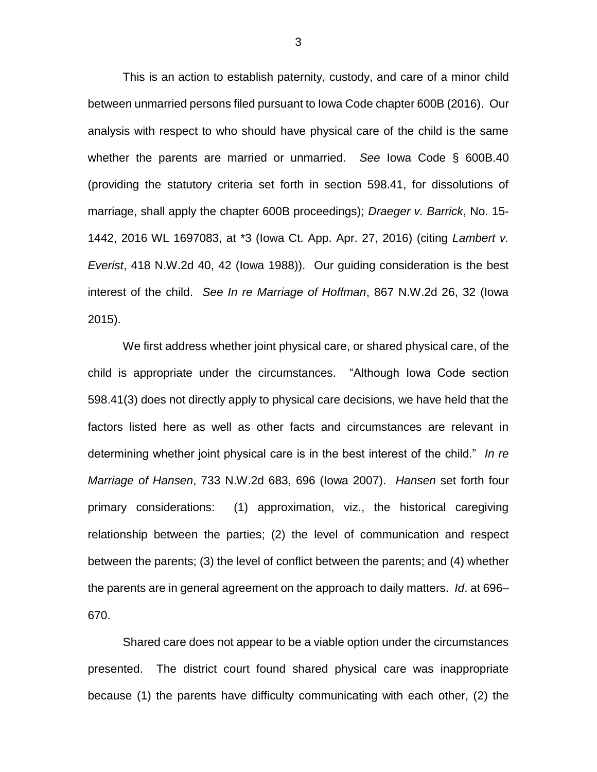This is an action to establish paternity, custody, and care of a minor child between unmarried persons filed pursuant to Iowa Code chapter 600B (2016). Our analysis with respect to who should have physical care of the child is the same whether the parents are married or unmarried. *See* Iowa Code § 600B.40 (providing the statutory criteria set forth in section 598.41, for dissolutions of marriage, shall apply the chapter 600B proceedings); *Draeger v. Barrick*, No. 15- 1442, 2016 WL 1697083, at \*3 (Iowa Ct. App. Apr. 27, 2016) (citing *Lambert v. Everist*, 418 N.W.2d 40, 42 (Iowa 1988)). Our guiding consideration is the best interest of the child. *See In re Marriage of Hoffman*, 867 N.W.2d 26, 32 (Iowa 2015).

We first address whether joint physical care, or shared physical care, of the child is appropriate under the circumstances. "Although Iowa Code section 598.41(3) does not directly apply to physical care decisions, we have held that the factors listed here as well as other facts and circumstances are relevant in determining whether joint physical care is in the best interest of the child." *In re Marriage of Hansen*, 733 N.W.2d 683, 696 (Iowa 2007). *Hansen* set forth four primary considerations: (1) approximation, viz., the historical caregiving relationship between the parties; (2) the level of communication and respect between the parents; (3) the level of conflict between the parents; and (4) whether the parents are in general agreement on the approach to daily matters. *Id*. at 696– 670.

Shared care does not appear to be a viable option under the circumstances presented. The district court found shared physical care was inappropriate because (1) the parents have difficulty communicating with each other, (2) the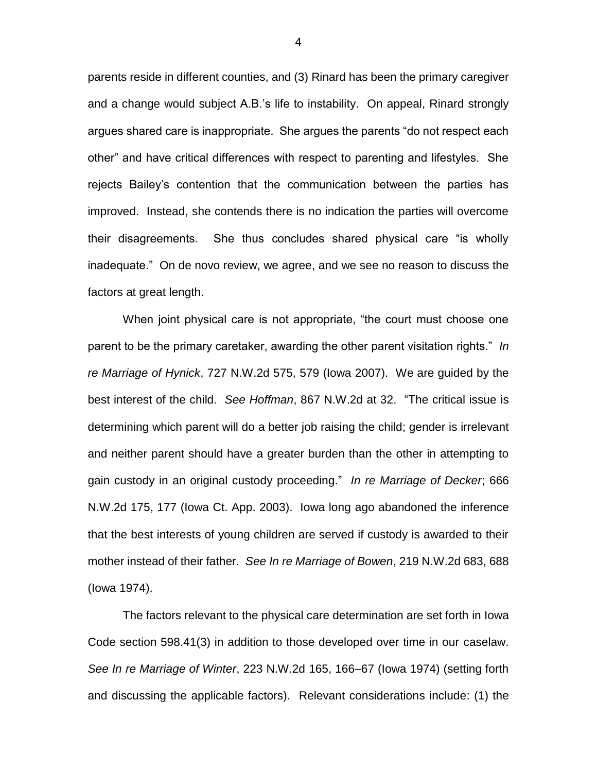parents reside in different counties, and (3) Rinard has been the primary caregiver and a change would subject A.B.'s life to instability. On appeal, Rinard strongly argues shared care is inappropriate. She argues the parents "do not respect each other" and have critical differences with respect to parenting and lifestyles. She rejects Bailey's contention that the communication between the parties has improved. Instead, she contends there is no indication the parties will overcome their disagreements. She thus concludes shared physical care "is wholly inadequate." On de novo review, we agree, and we see no reason to discuss the factors at great length.

When joint physical care is not appropriate, "the court must choose one parent to be the primary caretaker, awarding the other parent visitation rights." *In re Marriage of Hynick*, 727 N.W.2d 575, 579 (Iowa 2007). We are guided by the best interest of the child. *See Hoffman*, 867 N.W.2d at 32. "The critical issue is determining which parent will do a better job raising the child; gender is irrelevant and neither parent should have a greater burden than the other in attempting to gain custody in an original custody proceeding." *In re Marriage of Decker*; 666 N.W.2d 175, 177 (Iowa Ct. App. 2003). Iowa long ago abandoned the inference that the best interests of young children are served if custody is awarded to their mother instead of their father. *See In re Marriage of Bowen*, 219 N.W.2d 683, 688 (Iowa 1974).

The factors relevant to the physical care determination are set forth in Iowa Code section 598.41(3) in addition to those developed over time in our caselaw. *See In re Marriage of Winter*, 223 N.W.2d 165, 166–67 (Iowa 1974) (setting forth and discussing the applicable factors). Relevant considerations include: (1) the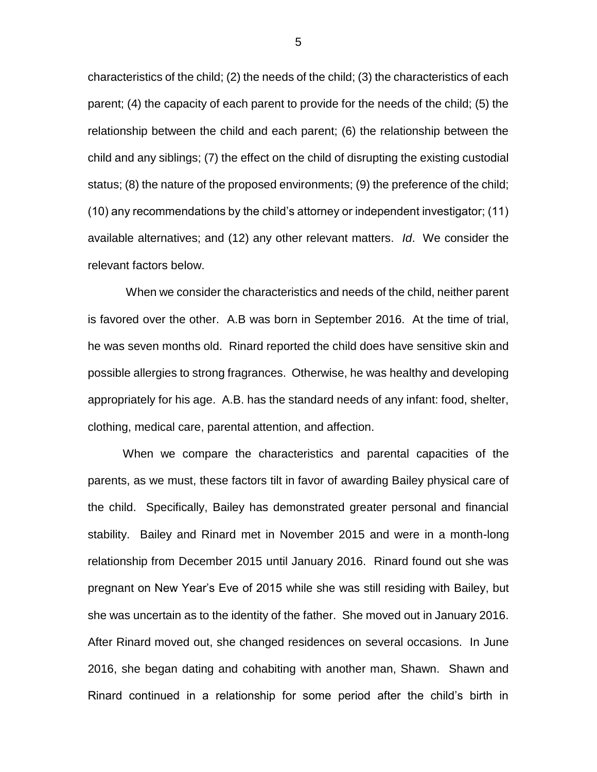characteristics of the child; (2) the needs of the child; (3) the characteristics of each parent; (4) the capacity of each parent to provide for the needs of the child; (5) the relationship between the child and each parent; (6) the relationship between the child and any siblings; (7) the effect on the child of disrupting the existing custodial status; (8) the nature of the proposed environments; (9) the preference of the child; (10) any recommendations by the child's attorney or independent investigator; (11) available alternatives; and (12) any other relevant matters. *Id*. We consider the relevant factors below.

When we consider the characteristics and needs of the child, neither parent is favored over the other. A.B was born in September 2016. At the time of trial, he was seven months old. Rinard reported the child does have sensitive skin and possible allergies to strong fragrances. Otherwise, he was healthy and developing appropriately for his age. A.B. has the standard needs of any infant: food, shelter, clothing, medical care, parental attention, and affection.

When we compare the characteristics and parental capacities of the parents, as we must, these factors tilt in favor of awarding Bailey physical care of the child. Specifically, Bailey has demonstrated greater personal and financial stability. Bailey and Rinard met in November 2015 and were in a month-long relationship from December 2015 until January 2016. Rinard found out she was pregnant on New Year's Eve of 2015 while she was still residing with Bailey, but she was uncertain as to the identity of the father. She moved out in January 2016. After Rinard moved out, she changed residences on several occasions. In June 2016, she began dating and cohabiting with another man, Shawn. Shawn and Rinard continued in a relationship for some period after the child's birth in

5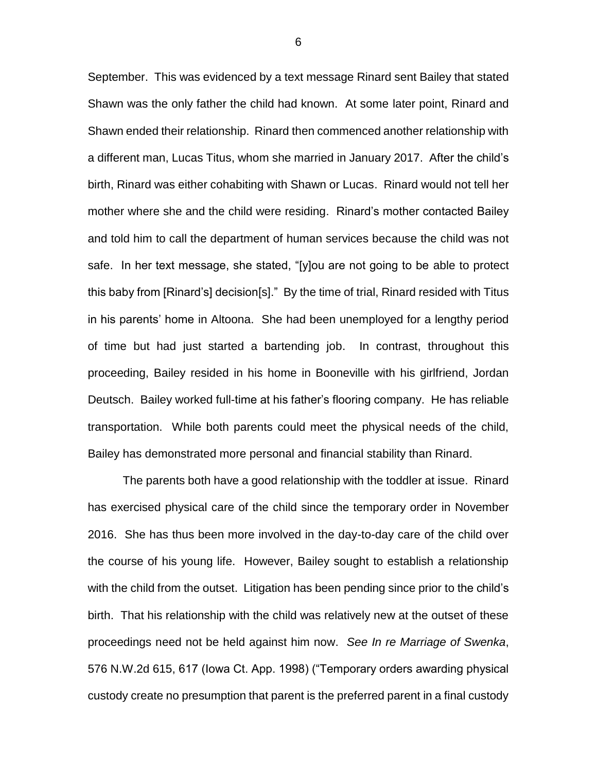September. This was evidenced by a text message Rinard sent Bailey that stated Shawn was the only father the child had known. At some later point, Rinard and Shawn ended their relationship. Rinard then commenced another relationship with a different man, Lucas Titus, whom she married in January 2017. After the child's birth, Rinard was either cohabiting with Shawn or Lucas. Rinard would not tell her mother where she and the child were residing. Rinard's mother contacted Bailey and told him to call the department of human services because the child was not safe. In her text message, she stated, "[y]ou are not going to be able to protect this baby from [Rinard's] decision[s]." By the time of trial, Rinard resided with Titus in his parents' home in Altoona. She had been unemployed for a lengthy period of time but had just started a bartending job. In contrast, throughout this proceeding, Bailey resided in his home in Booneville with his girlfriend, Jordan Deutsch. Bailey worked full-time at his father's flooring company. He has reliable transportation. While both parents could meet the physical needs of the child, Bailey has demonstrated more personal and financial stability than Rinard.

The parents both have a good relationship with the toddler at issue. Rinard has exercised physical care of the child since the temporary order in November 2016. She has thus been more involved in the day-to-day care of the child over the course of his young life. However, Bailey sought to establish a relationship with the child from the outset. Litigation has been pending since prior to the child's birth. That his relationship with the child was relatively new at the outset of these proceedings need not be held against him now. *See In re Marriage of Swenka*, 576 N.W.2d 615, 617 (Iowa Ct. App. 1998) ("Temporary orders awarding physical custody create no presumption that parent is the preferred parent in a final custody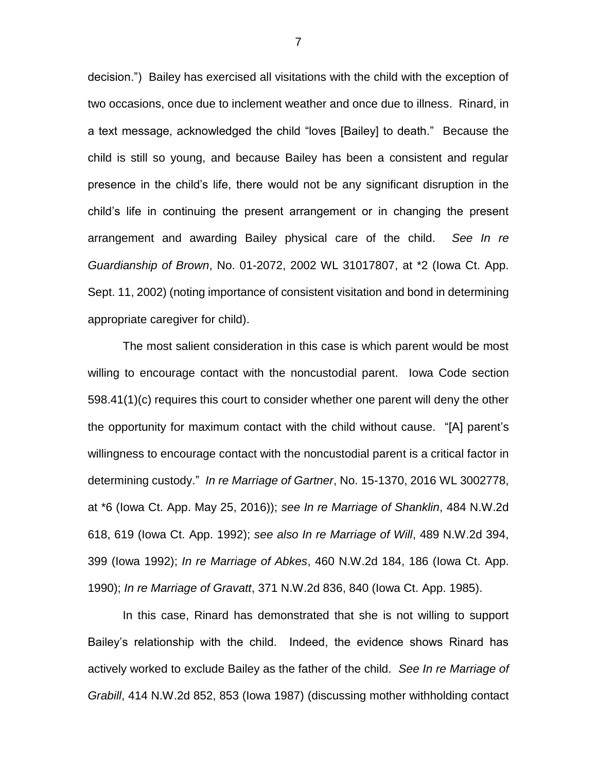decision.") Bailey has exercised all visitations with the child with the exception of two occasions, once due to inclement weather and once due to illness. Rinard, in a text message, acknowledged the child "loves [Bailey] to death." Because the child is still so young, and because Bailey has been a consistent and regular presence in the child's life, there would not be any significant disruption in the child's life in continuing the present arrangement or in changing the present arrangement and awarding Bailey physical care of the child. *See In re Guardianship of Brown*, No. 01-2072, 2002 WL 31017807, at \*2 (Iowa Ct. App. Sept. 11, 2002) (noting importance of consistent visitation and bond in determining appropriate caregiver for child).

The most salient consideration in this case is which parent would be most willing to encourage contact with the noncustodial parent. Iowa Code section 598.41(1)(c) requires this court to consider whether one parent will deny the other the opportunity for maximum contact with the child without cause. "[A] parent's willingness to encourage contact with the noncustodial parent is a critical factor in determining custody." *In re Marriage of Gartner*, No. 15-1370, 2016 WL 3002778, at \*6 (Iowa Ct. App. May 25, 2016)); *see In re Marriage of Shanklin*, 484 N.W.2d 618, 619 (Iowa Ct. App. 1992); *see also In re Marriage of Will*, 489 N.W.2d 394, 399 (Iowa 1992); *In re Marriage of Abkes*, 460 N.W.2d 184, 186 (Iowa Ct. App. 1990); *In re Marriage of Gravatt*, 371 N.W.2d 836, 840 (Iowa Ct. App. 1985).

In this case, Rinard has demonstrated that she is not willing to support Bailey's relationship with the child. Indeed, the evidence shows Rinard has actively worked to exclude Bailey as the father of the child. *See In re Marriage of Grabill*, 414 N.W.2d 852, 853 (Iowa 1987) (discussing mother withholding contact

7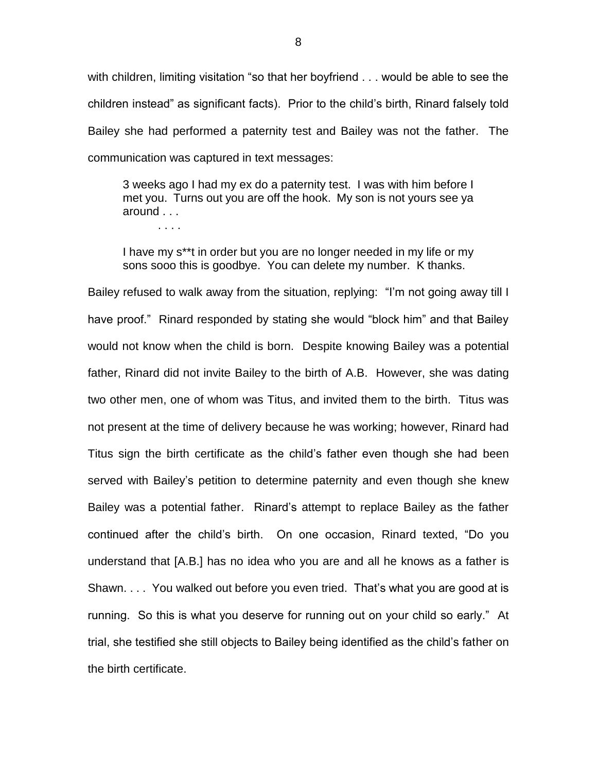with children, limiting visitation "so that her boyfriend . . . would be able to see the children instead" as significant facts). Prior to the child's birth, Rinard falsely told Bailey she had performed a paternity test and Bailey was not the father. The communication was captured in text messages:

3 weeks ago I had my ex do a paternity test. I was with him before I met you. Turns out you are off the hook. My son is not yours see ya around . . .

. . . .

I have my s\*\*t in order but you are no longer needed in my life or my sons sooo this is goodbye. You can delete my number. K thanks.

Bailey refused to walk away from the situation, replying: "I'm not going away till I have proof." Rinard responded by stating she would "block him" and that Bailey would not know when the child is born. Despite knowing Bailey was a potential father, Rinard did not invite Bailey to the birth of A.B. However, she was dating two other men, one of whom was Titus, and invited them to the birth. Titus was not present at the time of delivery because he was working; however, Rinard had Titus sign the birth certificate as the child's father even though she had been served with Bailey's petition to determine paternity and even though she knew Bailey was a potential father. Rinard's attempt to replace Bailey as the father continued after the child's birth. On one occasion, Rinard texted, "Do you understand that [A.B.] has no idea who you are and all he knows as a father is Shawn. . . . You walked out before you even tried. That's what you are good at is running. So this is what you deserve for running out on your child so early." At trial, she testified she still objects to Bailey being identified as the child's father on the birth certificate.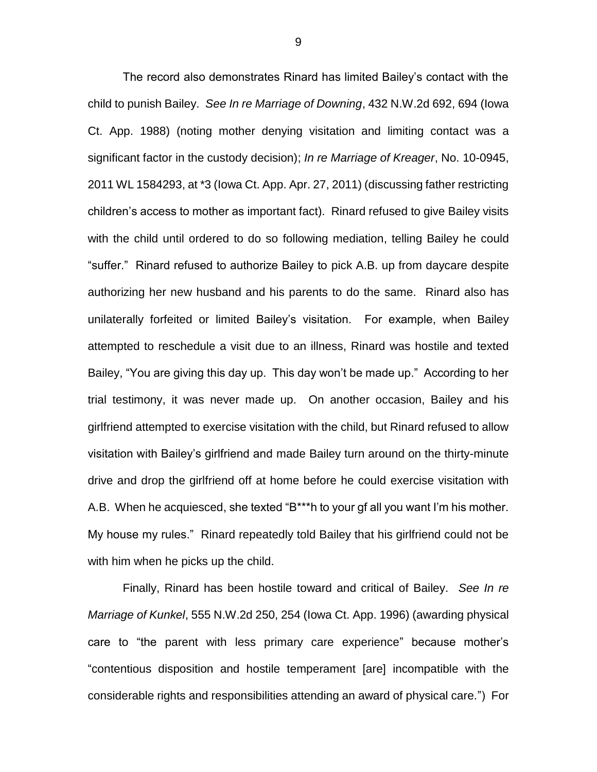The record also demonstrates Rinard has limited Bailey's contact with the child to punish Bailey. *See In re Marriage of Downing*, 432 N.W.2d 692, 694 (Iowa Ct. App. 1988) (noting mother denying visitation and limiting contact was a significant factor in the custody decision); *In re Marriage of Kreager*, No. 10-0945, 2011 WL 1584293, at \*3 (Iowa Ct. App. Apr. 27, 2011) (discussing father restricting children's access to mother as important fact). Rinard refused to give Bailey visits with the child until ordered to do so following mediation, telling Bailey he could "suffer." Rinard refused to authorize Bailey to pick A.B. up from daycare despite authorizing her new husband and his parents to do the same. Rinard also has unilaterally forfeited or limited Bailey's visitation. For example, when Bailey attempted to reschedule a visit due to an illness, Rinard was hostile and texted Bailey, "You are giving this day up. This day won't be made up." According to her trial testimony, it was never made up. On another occasion, Bailey and his girlfriend attempted to exercise visitation with the child, but Rinard refused to allow visitation with Bailey's girlfriend and made Bailey turn around on the thirty-minute drive and drop the girlfriend off at home before he could exercise visitation with A.B. When he acquiesced, she texted "B\*\*\*h to your gf all you want I'm his mother. My house my rules." Rinard repeatedly told Bailey that his girlfriend could not be with him when he picks up the child.

Finally, Rinard has been hostile toward and critical of Bailey. *See In re Marriage of Kunkel*, 555 N.W.2d 250, 254 (Iowa Ct. App. 1996) (awarding physical care to "the parent with less primary care experience" because mother's "contentious disposition and hostile temperament [are] incompatible with the considerable rights and responsibilities attending an award of physical care.") For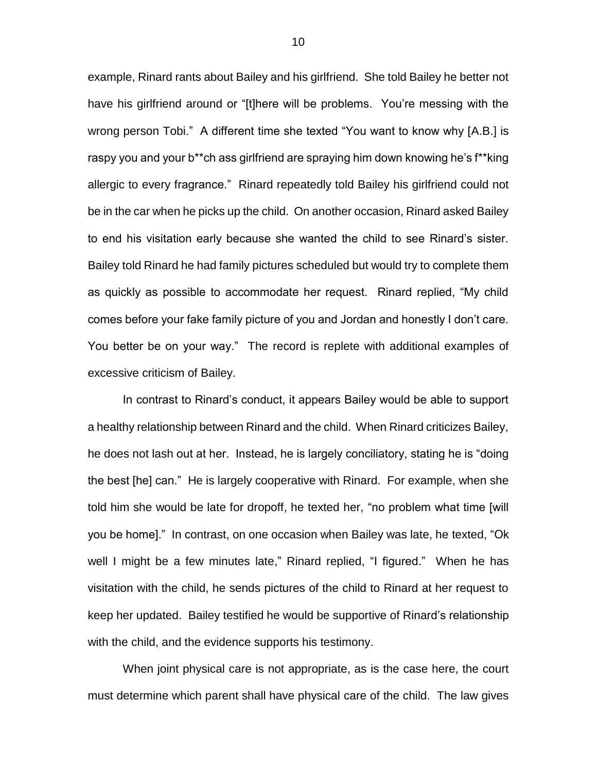example, Rinard rants about Bailey and his girlfriend. She told Bailey he better not have his girlfriend around or "[t]here will be problems. You're messing with the wrong person Tobi." A different time she texted "You want to know why [A.B.] is raspy you and your b\*\*ch ass girlfriend are spraying him down knowing he's f\*\*king allergic to every fragrance." Rinard repeatedly told Bailey his girlfriend could not be in the car when he picks up the child. On another occasion, Rinard asked Bailey to end his visitation early because she wanted the child to see Rinard's sister. Bailey told Rinard he had family pictures scheduled but would try to complete them as quickly as possible to accommodate her request. Rinard replied, "My child comes before your fake family picture of you and Jordan and honestly I don't care. You better be on your way." The record is replete with additional examples of excessive criticism of Bailey.

In contrast to Rinard's conduct, it appears Bailey would be able to support a healthy relationship between Rinard and the child. When Rinard criticizes Bailey, he does not lash out at her. Instead, he is largely conciliatory, stating he is "doing the best [he] can." He is largely cooperative with Rinard. For example, when she told him she would be late for dropoff, he texted her, "no problem what time [will you be home]." In contrast, on one occasion when Bailey was late, he texted, "Ok well I might be a few minutes late," Rinard replied, "I figured." When he has visitation with the child, he sends pictures of the child to Rinard at her request to keep her updated. Bailey testified he would be supportive of Rinard's relationship with the child, and the evidence supports his testimony.

When joint physical care is not appropriate, as is the case here, the court must determine which parent shall have physical care of the child. The law gives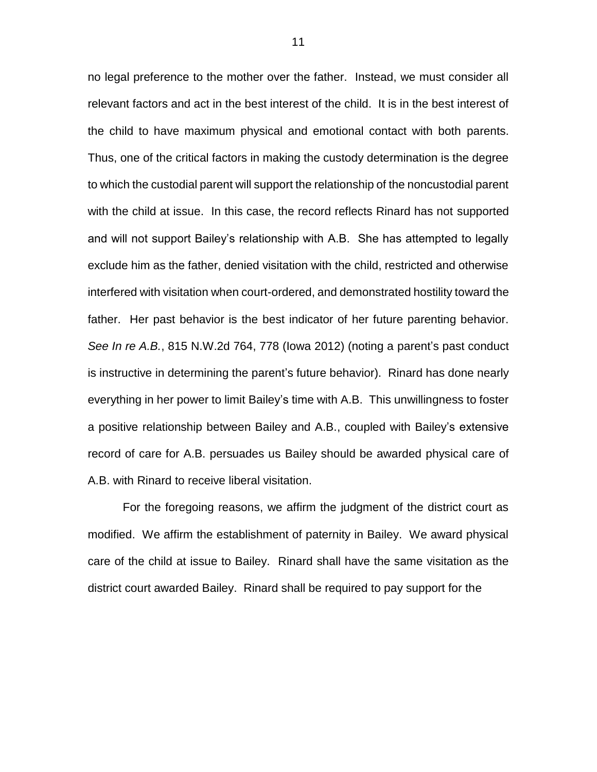no legal preference to the mother over the father. Instead, we must consider all relevant factors and act in the best interest of the child. It is in the best interest of the child to have maximum physical and emotional contact with both parents. Thus, one of the critical factors in making the custody determination is the degree to which the custodial parent will support the relationship of the noncustodial parent with the child at issue. In this case, the record reflects Rinard has not supported and will not support Bailey's relationship with A.B. She has attempted to legally exclude him as the father, denied visitation with the child, restricted and otherwise interfered with visitation when court-ordered, and demonstrated hostility toward the father. Her past behavior is the best indicator of her future parenting behavior. *See In re A.B.*, 815 N.W.2d 764, 778 (Iowa 2012) (noting a parent's past conduct is instructive in determining the parent's future behavior). Rinard has done nearly everything in her power to limit Bailey's time with A.B. This unwillingness to foster a positive relationship between Bailey and A.B., coupled with Bailey's extensive record of care for A.B. persuades us Bailey should be awarded physical care of A.B. with Rinard to receive liberal visitation.

For the foregoing reasons, we affirm the judgment of the district court as modified. We affirm the establishment of paternity in Bailey. We award physical care of the child at issue to Bailey. Rinard shall have the same visitation as the district court awarded Bailey. Rinard shall be required to pay support for the